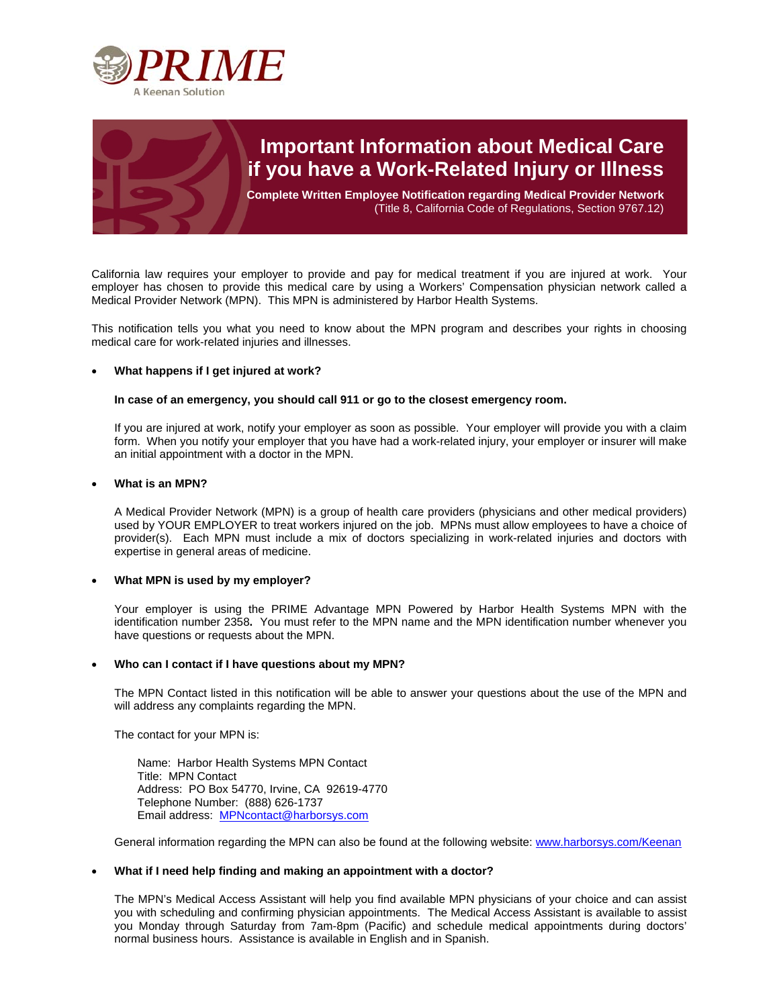



# **Important Information about Medical Care if you have a Work-Related Injury or Illness**

**Complete Written Employee Notification regarding Medical Provider Network**  (Title 8, California Code of Regulations, Section 9767.12)

California law requires your employer to provide and pay for medical treatment if you are injured at work. Your employer has chosen to provide this medical care by using a Workers' Compensation physician network called a Medical Provider Network (MPN). This MPN is administered by Harbor Health Systems.

This notification tells you what you need to know about the MPN program and describes your rights in choosing medical care for work-related injuries and illnesses.

## **What happens if I get injured at work?**

## **In case of an emergency, you should call 911 or go to the closest emergency room.**

If you are injured at work, notify your employer as soon as possible. Your employer will provide you with a claim form. When you notify your employer that you have had a work-related injury, your employer or insurer will make an initial appointment with a doctor in the MPN.

## **What is an MPN?**

A Medical Provider Network (MPN) is a group of health care providers (physicians and other medical providers) used by YOUR EMPLOYER to treat workers injured on the job. MPNs must allow employees to have a choice of provider(s). Each MPN must include a mix of doctors specializing in work-related injuries and doctors with expertise in general areas of medicine.

## **What MPN is used by my employer?**

Your employer is using the PRIME Advantage MPN Powered by Harbor Health Systems MPN with the identification number 2358**.** You must refer to the MPN name and the MPN identification number whenever you have questions or requests about the MPN.

#### **Who can I contact if I have questions about my MPN?**

The MPN Contact listed in this notification will be able to answer your questions about the use of the MPN and will address any complaints regarding the MPN.

The contact for your MPN is:

Name: Harbor Health Systems MPN Contact Title: MPN Contact Address: PO Box 54770, Irvine, CA 92619-4770 Telephone Number: (888) 626-1737 Email address: MPNcontact@harborsys.com

General information regarding the MPN can also be found at the following website: www.harborsys.com/Keenan

#### **What if I need help finding and making an appointment with a doctor?**

The MPN's Medical Access Assistant will help you find available MPN physicians of your choice and can assist you with scheduling and confirming physician appointments. The Medical Access Assistant is available to assist you Monday through Saturday from 7am-8pm (Pacific) and schedule medical appointments during doctors' normal business hours. Assistance is available in English and in Spanish.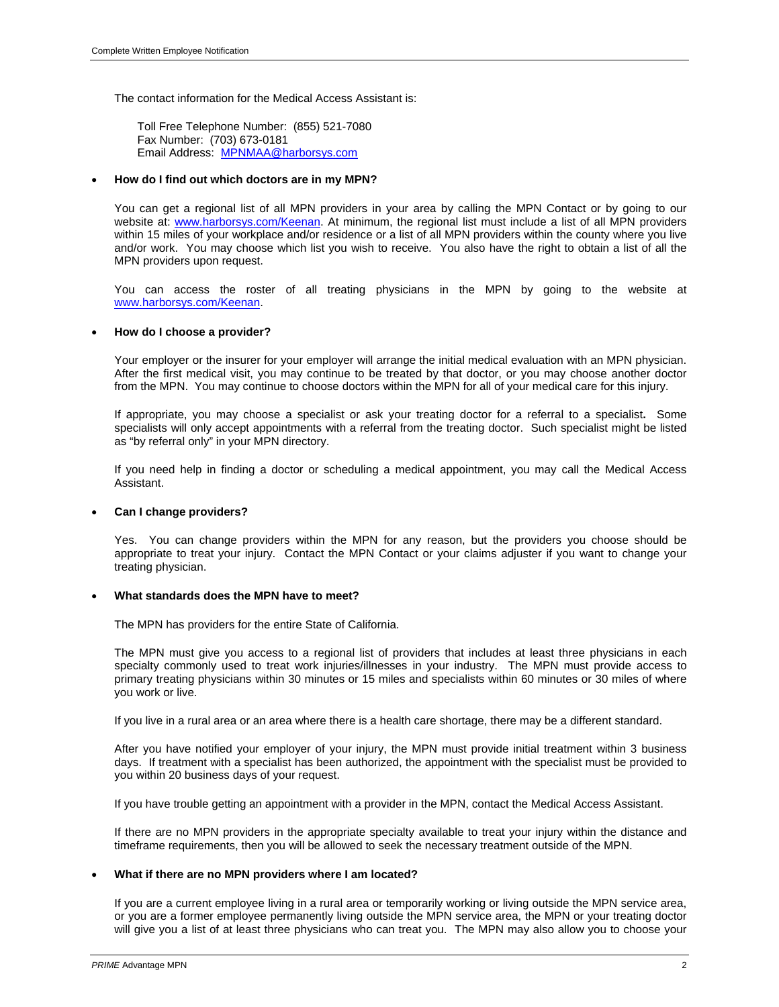The contact information for the Medical Access Assistant is:

Toll Free Telephone Number: (855) 521-7080 Fax Number: (703) 673-0181 Email Address: MPNMAA@harborsys.com

## **How do I find out which doctors are in my MPN?**

You can get a regional list of all MPN providers in your area by calling the MPN Contact or by going to our website at: www.harborsys.com/Keenan. At minimum, the regional list must include a list of all MPN providers within 15 miles of your workplace and/or residence or a list of all MPN providers within the county where you live and/or work. You may choose which list you wish to receive. You also have the right to obtain a list of all the MPN providers upon request.

You can access the roster of all treating physicians in the MPN by going to the website at www.harborsys.com/Keenan.

## **How do I choose a provider?**

Your employer or the insurer for your employer will arrange the initial medical evaluation with an MPN physician. After the first medical visit, you may continue to be treated by that doctor, or you may choose another doctor from the MPN. You may continue to choose doctors within the MPN for all of your medical care for this injury.

If appropriate, you may choose a specialist or ask your treating doctor for a referral to a specialist**.** Some specialists will only accept appointments with a referral from the treating doctor. Such specialist might be listed as "by referral only" in your MPN directory.

If you need help in finding a doctor or scheduling a medical appointment, you may call the Medical Access Assistant.

## **Can I change providers?**

Yes. You can change providers within the MPN for any reason, but the providers you choose should be appropriate to treat your injury. Contact the MPN Contact or your claims adjuster if you want to change your treating physician.

#### **What standards does the MPN have to meet?**

The MPN has providers for the entire State of California.

The MPN must give you access to a regional list of providers that includes at least three physicians in each specialty commonly used to treat work injuries/illnesses in your industry. The MPN must provide access to primary treating physicians within 30 minutes or 15 miles and specialists within 60 minutes or 30 miles of where you work or live.

If you live in a rural area or an area where there is a health care shortage, there may be a different standard.

After you have notified your employer of your injury, the MPN must provide initial treatment within 3 business days. If treatment with a specialist has been authorized, the appointment with the specialist must be provided to you within 20 business days of your request.

If you have trouble getting an appointment with a provider in the MPN, contact the Medical Access Assistant.

If there are no MPN providers in the appropriate specialty available to treat your injury within the distance and timeframe requirements, then you will be allowed to seek the necessary treatment outside of the MPN.

# **What if there are no MPN providers where I am located?**

If you are a current employee living in a rural area or temporarily working or living outside the MPN service area, or you are a former employee permanently living outside the MPN service area, the MPN or your treating doctor will give you a list of at least three physicians who can treat you. The MPN may also allow you to choose your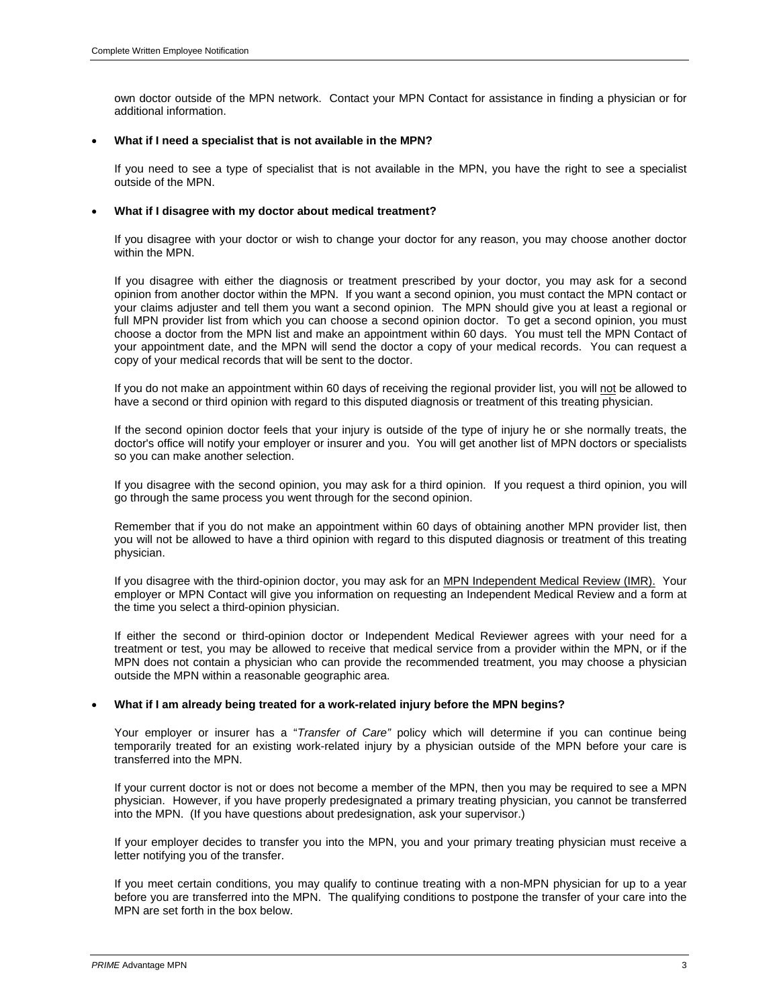own doctor outside of the MPN network. Contact your MPN Contact for assistance in finding a physician or for additional information.

## **What if I need a specialist that is not available in the MPN?**

If you need to see a type of specialist that is not available in the MPN, you have the right to see a specialist outside of the MPN.

## **What if I disagree with my doctor about medical treatment?**

If you disagree with your doctor or wish to change your doctor for any reason, you may choose another doctor within the MPN.

If you disagree with either the diagnosis or treatment prescribed by your doctor, you may ask for a second opinion from another doctor within the MPN. If you want a second opinion, you must contact the MPN contact or your claims adjuster and tell them you want a second opinion. The MPN should give you at least a regional or full MPN provider list from which you can choose a second opinion doctor. To get a second opinion, you must choose a doctor from the MPN list and make an appointment within 60 days. You must tell the MPN Contact of your appointment date, and the MPN will send the doctor a copy of your medical records. You can request a copy of your medical records that will be sent to the doctor.

If you do not make an appointment within 60 days of receiving the regional provider list, you will not be allowed to have a second or third opinion with regard to this disputed diagnosis or treatment of this treating physician.

If the second opinion doctor feels that your injury is outside of the type of injury he or she normally treats, the doctor's office will notify your employer or insurer and you. You will get another list of MPN doctors or specialists so you can make another selection.

If you disagree with the second opinion, you may ask for a third opinion. If you request a third opinion, you will go through the same process you went through for the second opinion.

Remember that if you do not make an appointment within 60 days of obtaining another MPN provider list, then you will not be allowed to have a third opinion with regard to this disputed diagnosis or treatment of this treating physician.

If you disagree with the third-opinion doctor, you may ask for an MPN Independent Medical Review (IMR).Your employer or MPN Contact will give you information on requesting an Independent Medical Review and a form at the time you select a third-opinion physician.

If either the second or third-opinion doctor or Independent Medical Reviewer agrees with your need for a treatment or test, you may be allowed to receive that medical service from a provider within the MPN, or if the MPN does not contain a physician who can provide the recommended treatment, you may choose a physician outside the MPN within a reasonable geographic area.

## **What if I am already being treated for a work-related injury before the MPN begins?**

Your employer or insurer has a "*Transfer of Care"* policy which will determine if you can continue being temporarily treated for an existing work-related injury by a physician outside of the MPN before your care is transferred into the MPN.

If your current doctor is not or does not become a member of the MPN, then you may be required to see a MPN physician. However, if you have properly predesignated a primary treating physician, you cannot be transferred into the MPN. (If you have questions about predesignation, ask your supervisor.)

If your employer decides to transfer you into the MPN, you and your primary treating physician must receive a letter notifying you of the transfer.

If you meet certain conditions, you may qualify to continue treating with a non-MPN physician for up to a year before you are transferred into the MPN. The qualifying conditions to postpone the transfer of your care into the MPN are set forth in the box below.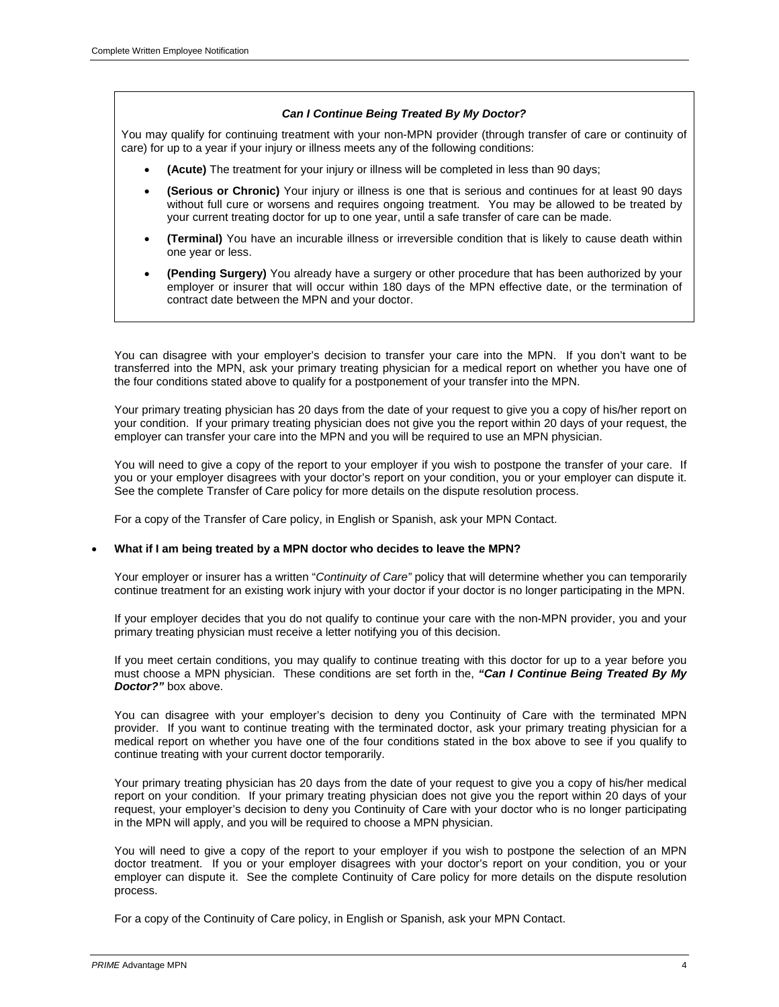# *Can I Continue Being Treated By My Doctor?*

You may qualify for continuing treatment with your non-MPN provider (through transfer of care or continuity of care) for up to a year if your injury or illness meets any of the following conditions:

- **(Acute)** The treatment for your injury or illness will be completed in less than 90 days;
- **(Serious or Chronic)** Your injury or illness is one that is serious and continues for at least 90 days without full cure or worsens and requires ongoing treatment. You may be allowed to be treated by your current treating doctor for up to one year, until a safe transfer of care can be made.
- **(Terminal)** You have an incurable illness or irreversible condition that is likely to cause death within one year or less.
- **(Pending Surgery)** You already have a surgery or other procedure that has been authorized by your employer or insurer that will occur within 180 days of the MPN effective date, or the termination of contract date between the MPN and your doctor.

You can disagree with your employer's decision to transfer your care into the MPN. If you don't want to be transferred into the MPN, ask your primary treating physician for a medical report on whether you have one of the four conditions stated above to qualify for a postponement of your transfer into the MPN.

Your primary treating physician has 20 days from the date of your request to give you a copy of his/her report on your condition. If your primary treating physician does not give you the report within 20 days of your request, the employer can transfer your care into the MPN and you will be required to use an MPN physician.

You will need to give a copy of the report to your employer if you wish to postpone the transfer of your care. If you or your employer disagrees with your doctor's report on your condition, you or your employer can dispute it. See the complete Transfer of Care policy for more details on the dispute resolution process.

For a copy of the Transfer of Care policy, in English or Spanish, ask your MPN Contact.

## **What if I am being treated by a MPN doctor who decides to leave the MPN?**

Your employer or insurer has a written "*Continuity of Care"* policy that will determine whether you can temporarily continue treatment for an existing work injury with your doctor if your doctor is no longer participating in the MPN.

If your employer decides that you do not qualify to continue your care with the non-MPN provider, you and your primary treating physician must receive a letter notifying you of this decision.

If you meet certain conditions, you may qualify to continue treating with this doctor for up to a year before you must choose a MPN physician. These conditions are set forth in the, *"Can I Continue Being Treated By My Doctor?"* box above.

You can disagree with your employer's decision to deny you Continuity of Care with the terminated MPN provider. If you want to continue treating with the terminated doctor, ask your primary treating physician for a medical report on whether you have one of the four conditions stated in the box above to see if you qualify to continue treating with your current doctor temporarily.

Your primary treating physician has 20 days from the date of your request to give you a copy of his/her medical report on your condition. If your primary treating physician does not give you the report within 20 days of your request, your employer's decision to deny you Continuity of Care with your doctor who is no longer participating in the MPN will apply, and you will be required to choose a MPN physician.

You will need to give a copy of the report to your employer if you wish to postpone the selection of an MPN doctor treatment. If you or your employer disagrees with your doctor's report on your condition, you or your employer can dispute it. See the complete Continuity of Care policy for more details on the dispute resolution process.

For a copy of the Continuity of Care policy, in English or Spanish, ask your MPN Contact.